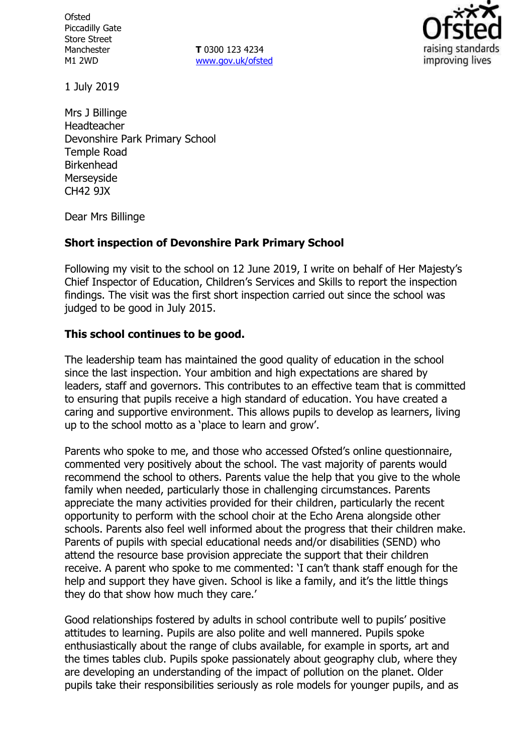**Ofsted** Piccadilly Gate Store Street Manchester M1 2WD

**T** 0300 123 4234 www.gov.uk/ofsted



1 July 2019

Mrs J Billinge Headteacher Devonshire Park Primary School Temple Road **Birkenhead** Merseyside CH42 9JX

Dear Mrs Billinge

# **Short inspection of Devonshire Park Primary School**

Following my visit to the school on 12 June 2019, I write on behalf of Her Majesty's Chief Inspector of Education, Children's Services and Skills to report the inspection findings. The visit was the first short inspection carried out since the school was judged to be good in July 2015.

#### **This school continues to be good.**

The leadership team has maintained the good quality of education in the school since the last inspection. Your ambition and high expectations are shared by leaders, staff and governors. This contributes to an effective team that is committed to ensuring that pupils receive a high standard of education. You have created a caring and supportive environment. This allows pupils to develop as learners, living up to the school motto as a 'place to learn and grow'.

Parents who spoke to me, and those who accessed Ofsted's online questionnaire, commented very positively about the school. The vast majority of parents would recommend the school to others. Parents value the help that you give to the whole family when needed, particularly those in challenging circumstances. Parents appreciate the many activities provided for their children, particularly the recent opportunity to perform with the school choir at the Echo Arena alongside other schools. Parents also feel well informed about the progress that their children make. Parents of pupils with special educational needs and/or disabilities (SEND) who attend the resource base provision appreciate the support that their children receive. A parent who spoke to me commented: 'I can't thank staff enough for the help and support they have given. School is like a family, and it's the little things they do that show how much they care.'

Good relationships fostered by adults in school contribute well to pupils' positive attitudes to learning. Pupils are also polite and well mannered. Pupils spoke enthusiastically about the range of clubs available, for example in sports, art and the times tables club. Pupils spoke passionately about geography club, where they are developing an understanding of the impact of pollution on the planet. Older pupils take their responsibilities seriously as role models for younger pupils, and as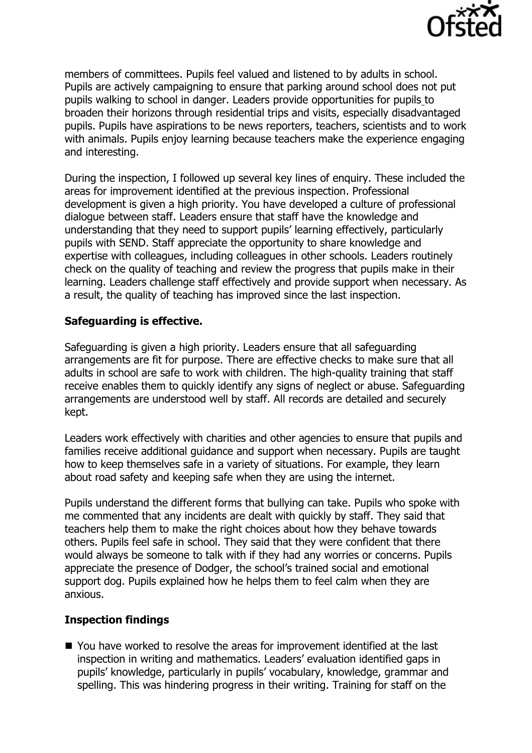

members of committees. Pupils feel valued and listened to by adults in school. Pupils are actively campaigning to ensure that parking around school does not put pupils walking to school in danger. Leaders provide opportunities for pupils to broaden their horizons through residential trips and visits, especially disadvantaged pupils. Pupils have aspirations to be news reporters, teachers, scientists and to work with animals. Pupils enjoy learning because teachers make the experience engaging and interesting.

During the inspection, I followed up several key lines of enquiry. These included the areas for improvement identified at the previous inspection. Professional development is given a high priority. You have developed a culture of professional dialogue between staff. Leaders ensure that staff have the knowledge and understanding that they need to support pupils' learning effectively, particularly pupils with SEND. Staff appreciate the opportunity to share knowledge and expertise with colleagues, including colleagues in other schools. Leaders routinely check on the quality of teaching and review the progress that pupils make in their learning. Leaders challenge staff effectively and provide support when necessary. As a result, the quality of teaching has improved since the last inspection.

# **Safeguarding is effective.**

Safeguarding is given a high priority. Leaders ensure that all safeguarding arrangements are fit for purpose. There are effective checks to make sure that all adults in school are safe to work with children. The high-quality training that staff receive enables them to quickly identify any signs of neglect or abuse. Safeguarding arrangements are understood well by staff. All records are detailed and securely kept.

Leaders work effectively with charities and other agencies to ensure that pupils and families receive additional guidance and support when necessary. Pupils are taught how to keep themselves safe in a variety of situations. For example, they learn about road safety and keeping safe when they are using the internet.

Pupils understand the different forms that bullying can take. Pupils who spoke with me commented that any incidents are dealt with quickly by staff. They said that teachers help them to make the right choices about how they behave towards others. Pupils feel safe in school. They said that they were confident that there would always be someone to talk with if they had any worries or concerns. Pupils appreciate the presence of Dodger, the school's trained social and emotional support dog. Pupils explained how he helps them to feel calm when they are anxious.

# **Inspection findings**

■ You have worked to resolve the areas for improvement identified at the last inspection in writing and mathematics. Leaders' evaluation identified gaps in pupils' knowledge, particularly in pupils' vocabulary, knowledge, grammar and spelling. This was hindering progress in their writing. Training for staff on the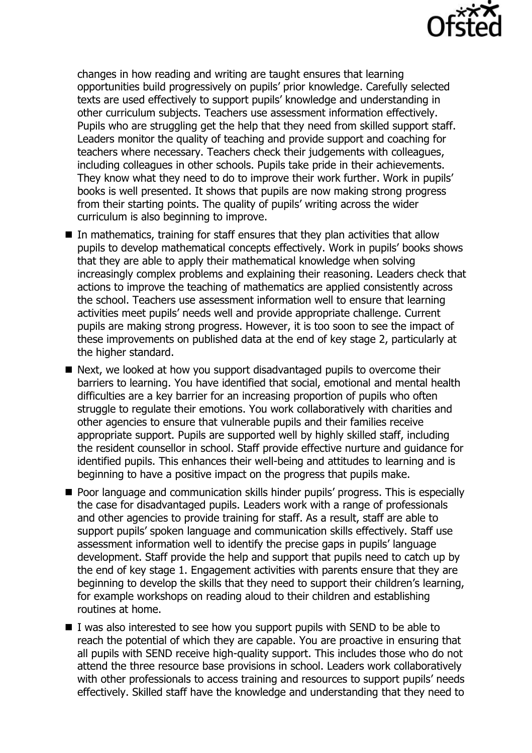

changes in how reading and writing are taught ensures that learning opportunities build progressively on pupils' prior knowledge. Carefully selected texts are used effectively to support pupils' knowledge and understanding in other curriculum subjects. Teachers use assessment information effectively. Pupils who are struggling get the help that they need from skilled support staff. Leaders monitor the quality of teaching and provide support and coaching for teachers where necessary. Teachers check their judgements with colleagues, including colleagues in other schools. Pupils take pride in their achievements. They know what they need to do to improve their work further. Work in pupils' books is well presented. It shows that pupils are now making strong progress from their starting points. The quality of pupils' writing across the wider curriculum is also beginning to improve.

- $\blacksquare$  In mathematics, training for staff ensures that they plan activities that allow pupils to develop mathematical concepts effectively. Work in pupils' books shows that they are able to apply their mathematical knowledge when solving increasingly complex problems and explaining their reasoning. Leaders check that actions to improve the teaching of mathematics are applied consistently across the school. Teachers use assessment information well to ensure that learning activities meet pupils' needs well and provide appropriate challenge. Current pupils are making strong progress. However, it is too soon to see the impact of these improvements on published data at the end of key stage 2, particularly at the higher standard.
- Next, we looked at how you support disadvantaged pupils to overcome their barriers to learning. You have identified that social, emotional and mental health difficulties are a key barrier for an increasing proportion of pupils who often struggle to regulate their emotions. You work collaboratively with charities and other agencies to ensure that vulnerable pupils and their families receive appropriate support. Pupils are supported well by highly skilled staff, including the resident counsellor in school. Staff provide effective nurture and guidance for identified pupils. This enhances their well-being and attitudes to learning and is beginning to have a positive impact on the progress that pupils make.
- **Poor language and communication skills hinder pupils' progress. This is especially** the case for disadvantaged pupils. Leaders work with a range of professionals and other agencies to provide training for staff. As a result, staff are able to support pupils' spoken language and communication skills effectively. Staff use assessment information well to identify the precise gaps in pupils' language development. Staff provide the help and support that pupils need to catch up by the end of key stage 1. Engagement activities with parents ensure that they are beginning to develop the skills that they need to support their children's learning, for example workshops on reading aloud to their children and establishing routines at home.
- $\blacksquare$  I was also interested to see how you support pupils with SEND to be able to reach the potential of which they are capable. You are proactive in ensuring that all pupils with SEND receive high-quality support. This includes those who do not attend the three resource base provisions in school. Leaders work collaboratively with other professionals to access training and resources to support pupils' needs effectively. Skilled staff have the knowledge and understanding that they need to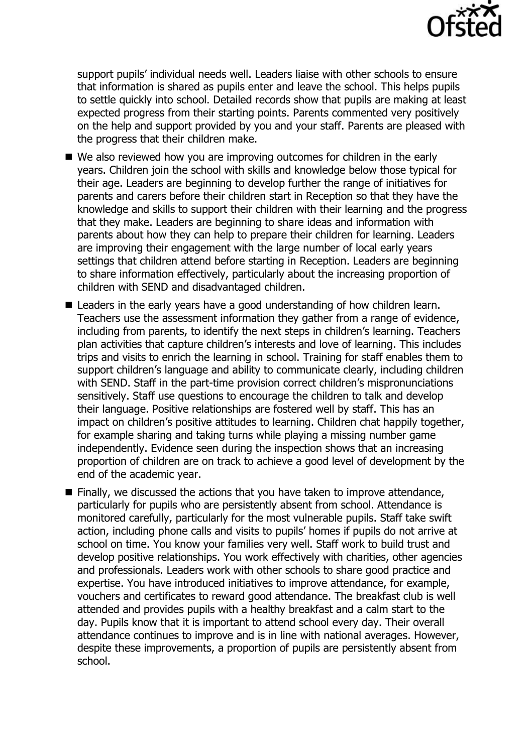

support pupils' individual needs well. Leaders liaise with other schools to ensure that information is shared as pupils enter and leave the school. This helps pupils to settle quickly into school. Detailed records show that pupils are making at least expected progress from their starting points. Parents commented very positively on the help and support provided by you and your staff. Parents are pleased with the progress that their children make.

- We also reviewed how you are improving outcomes for children in the early years. Children join the school with skills and knowledge below those typical for their age. Leaders are beginning to develop further the range of initiatives for parents and carers before their children start in Reception so that they have the knowledge and skills to support their children with their learning and the progress that they make. Leaders are beginning to share ideas and information with parents about how they can help to prepare their children for learning. Leaders are improving their engagement with the large number of local early years settings that children attend before starting in Reception. Leaders are beginning to share information effectively, particularly about the increasing proportion of children with SEND and disadvantaged children.
- Leaders in the early years have a good understanding of how children learn. Teachers use the assessment information they gather from a range of evidence, including from parents, to identify the next steps in children's learning. Teachers plan activities that capture children's interests and love of learning. This includes trips and visits to enrich the learning in school. Training for staff enables them to support children's language and ability to communicate clearly, including children with SEND. Staff in the part-time provision correct children's mispronunciations sensitively. Staff use questions to encourage the children to talk and develop their language. Positive relationships are fostered well by staff. This has an impact on children's positive attitudes to learning. Children chat happily together, for example sharing and taking turns while playing a missing number game independently. Evidence seen during the inspection shows that an increasing proportion of children are on track to achieve a good level of development by the end of the academic year.
- Finally, we discussed the actions that you have taken to improve attendance, particularly for pupils who are persistently absent from school. Attendance is monitored carefully, particularly for the most vulnerable pupils. Staff take swift action, including phone calls and visits to pupils' homes if pupils do not arrive at school on time. You know your families very well. Staff work to build trust and develop positive relationships. You work effectively with charities, other agencies and professionals. Leaders work with other schools to share good practice and expertise. You have introduced initiatives to improve attendance, for example, vouchers and certificates to reward good attendance. The breakfast club is well attended and provides pupils with a healthy breakfast and a calm start to the day. Pupils know that it is important to attend school every day. Their overall attendance continues to improve and is in line with national averages. However, despite these improvements, a proportion of pupils are persistently absent from school.